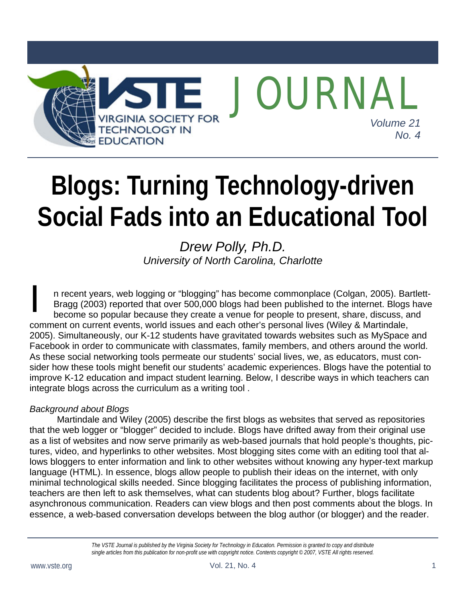

# **Blogs: Turning Technology-driven Social Fads into an Educational Tool**

*Drew Polly, Ph.D. University of North Carolina, Charlotte* 

n recent years, web logging or "blogging" has become commonplace (Colgan, 2005). Bartlett-Bragg (2003) reported that over 500,000 blogs had been published to the internet. Blogs have become so popular because they create a venue for people to present, share, discuss, and comment on current events, world issues and each other's personal lives (Wiley & Martindale, 2005). Simultaneously, our K-12 students have gravitated towards websites such as MySpace and Facebook in order to communicate with classmates, family members, and others around the world. As these social networking tools permeate our students' social lives, we, as educators, must consider how these tools might benefit our students' academic experiences. Blogs have the potential to improve K-12 education and impact student learning. Below, I describe ways in which teachers can integrate blogs across the curriculum as a writing tool . n rec<br>Brage<br>beco

## *Background about Blogs*

 Martindale and Wiley (2005) describe the first blogs as websites that served as repositories that the web logger or "blogger" decided to include. Blogs have drifted away from their original use as a list of websites and now serve primarily as web-based journals that hold people's thoughts, pictures, video, and hyperlinks to other websites. Most blogging sites come with an editing tool that allows bloggers to enter information and link to other websites without knowing any hyper-text markup language (HTML). In essence, blogs allow people to publish their ideas on the internet, with only minimal technological skills needed. Since blogging facilitates the process of publishing information, teachers are then left to ask themselves, what can students blog about? Further, blogs facilitate asynchronous communication. Readers can view blogs and then post comments about the blogs. In essence, a web-based conversation develops between the blog author (or blogger) and the reader.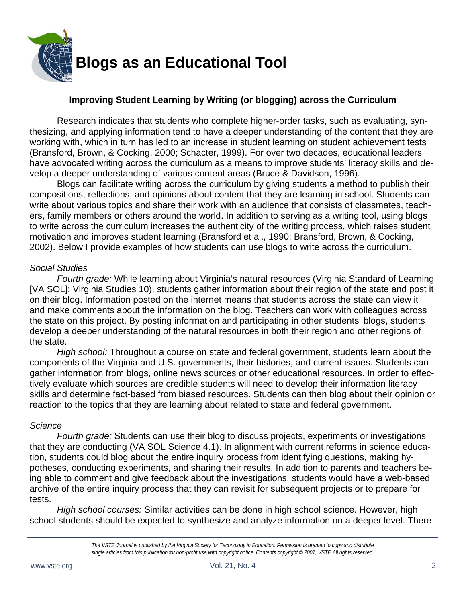

# **Improving Student Learning by Writing (or blogging) across the Curriculum**

 Research indicates that students who complete higher-order tasks, such as evaluating, synthesizing, and applying information tend to have a deeper understanding of the content that they are working with, which in turn has led to an increase in student learning on student achievement tests (Bransford, Brown, & Cocking, 2000; Schacter, 1999). For over two decades, educational leaders have advocated writing across the curriculum as a means to improve students' literacy skills and develop a deeper understanding of various content areas (Bruce & Davidson, 1996).

 Blogs can facilitate writing across the curriculum by giving students a method to publish their compositions, reflections, and opinions about content that they are learning in school. Students can write about various topics and share their work with an audience that consists of classmates, teachers, family members or others around the world. In addition to serving as a writing tool, using blogs to write across the curriculum increases the authenticity of the writing process, which raises student motivation and improves student learning (Bransford et al., 1990; Bransford, Brown, & Cocking, 2002). Below I provide examples of how students can use blogs to write across the curriculum.

#### *Social Studies*

 *Fourth grade:* While learning about Virginia's natural resources (Virginia Standard of Learning [VA SOL]: Virginia Studies 10), students gather information about their region of the state and post it on their blog. Information posted on the internet means that students across the state can view it and make comments about the information on the blog. Teachers can work with colleagues across the state on this project. By posting information and participating in other students' blogs, students develop a deeper understanding of the natural resources in both their region and other regions of the state.

*High school:* Throughout a course on state and federal government, students learn about the components of the Virginia and U.S. governments, their histories, and current issues. Students can gather information from blogs, online news sources or other educational resources. In order to effectively evaluate which sources are credible students will need to develop their information literacy skills and determine fact-based from biased resources. Students can then blog about their opinion or reaction to the topics that they are learning about related to state and federal government.

#### *Science*

*Fourth grade:* Students can use their blog to discuss projects, experiments or investigations that they are conducting (VA SOL Science 4.1). In alignment with current reforms in science education, students could blog about the entire inquiry process from identifying questions, making hypotheses, conducting experiments, and sharing their results. In addition to parents and teachers being able to comment and give feedback about the investigations, students would have a web-based archive of the entire inquiry process that they can revisit for subsequent projects or to prepare for tests.

*High school courses:* Similar activities can be done in high school science. However, high school students should be expected to synthesize and analyze information on a deeper level. There-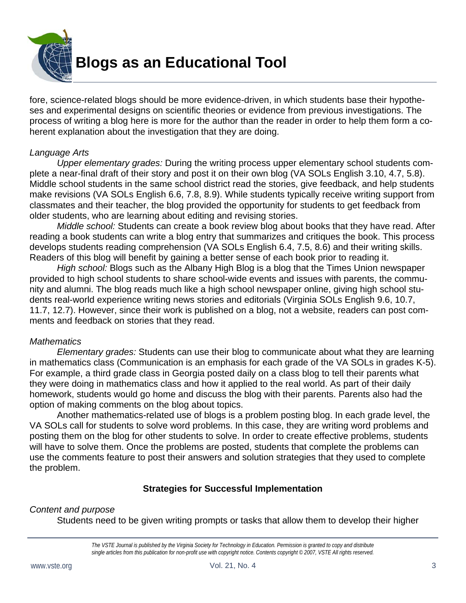

fore, science-related blogs should be more evidence-driven, in which students base their hypotheses and experimental designs on scientific theories or evidence from previous investigations. The process of writing a blog here is more for the author than the reader in order to help them form a coherent explanation about the investigation that they are doing.

#### *Language Arts*

*Upper elementary grades:* During the writing process upper elementary school students complete a near-final draft of their story and post it on their own blog (VA SOLs English 3.10, 4.7, 5.8). Middle school students in the same school district read the stories, give feedback, and help students make revisions (VA SOLs English 6.6, 7.8, 8.9). While students typically receive writing support from classmates and their teacher, the blog provided the opportunity for students to get feedback from older students, who are learning about editing and revising stories.

*Middle school:* Students can create a book review blog about books that they have read. After reading a book students can write a blog entry that summarizes and critiques the book. This process develops students reading comprehension (VA SOLs English 6.4, 7.5, 8.6) and their writing skills. Readers of this blog will benefit by gaining a better sense of each book prior to reading it.

*High school:* Blogs such as the Albany High Blog is a blog that the Times Union newspaper provided to high school students to share school-wide events and issues with parents, the community and alumni. The blog reads much like a high school newspaper online, giving high school students real-world experience writing news stories and editorials (Virginia SOLs English 9.6, 10.7, 11.7, 12.7). However, since their work is published on a blog, not a website, readers can post comments and feedback on stories that they read.

## *Mathematics*

*Elementary grades:* Students can use their blog to communicate about what they are learning in mathematics class (Communication is an emphasis for each grade of the VA SOLs in grades K-5). For example, a third grade class in Georgia posted daily on a class blog to tell their parents what they were doing in mathematics class and how it applied to the real world. As part of their daily homework, students would go home and discuss the blog with their parents. Parents also had the option of making comments on the blog about topics.

 Another mathematics-related use of blogs is a problem posting blog. In each grade level, the VA SOLs call for students to solve word problems. In this case, they are writing word problems and posting them on the blog for other students to solve. In order to create effective problems, students will have to solve them. Once the problems are posted, students that complete the problems can use the comments feature to post their answers and solution strategies that they used to complete the problem.

## **Strategies for Successful Implementation**

## *Content and purpose*

Students need to be given writing prompts or tasks that allow them to develop their higher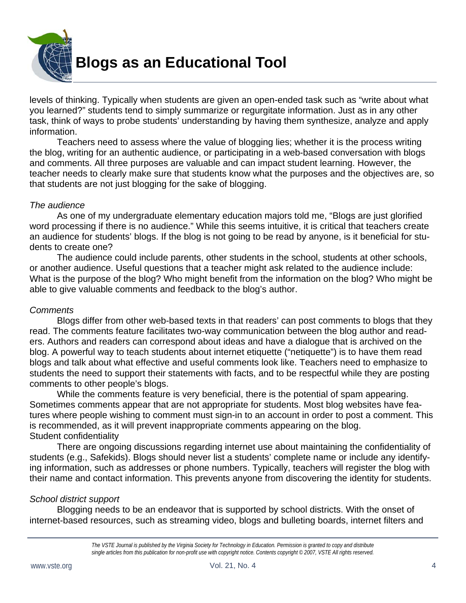

levels of thinking. Typically when students are given an open-ended task such as "write about what you learned?" students tend to simply summarize or regurgitate information. Just as in any other task, think of ways to probe students' understanding by having them synthesize, analyze and apply information.

 Teachers need to assess where the value of blogging lies; whether it is the process writing the blog, writing for an authentic audience, or participating in a web-based conversation with blogs and comments. All three purposes are valuable and can impact student learning. However, the teacher needs to clearly make sure that students know what the purposes and the objectives are, so that students are not just blogging for the sake of blogging.

## *The audience*

 As one of my undergraduate elementary education majors told me, "Blogs are just glorified word processing if there is no audience." While this seems intuitive, it is critical that teachers create an audience for students' blogs. If the blog is not going to be read by anyone, is it beneficial for students to create one?

 The audience could include parents, other students in the school, students at other schools, or another audience. Useful questions that a teacher might ask related to the audience include: What is the purpose of the blog? Who might benefit from the information on the blog? Who might be able to give valuable comments and feedback to the blog's author.

#### *Comments*

 Blogs differ from other web-based texts in that readers' can post comments to blogs that they read. The comments feature facilitates two-way communication between the blog author and readers. Authors and readers can correspond about ideas and have a dialogue that is archived on the blog. A powerful way to teach students about internet etiquette ("netiquette") is to have them read blogs and talk about what effective and useful comments look like. Teachers need to emphasize to students the need to support their statements with facts, and to be respectful while they are posting comments to other people's blogs.

 While the comments feature is very beneficial, there is the potential of spam appearing. Sometimes comments appear that are not appropriate for students. Most blog websites have features where people wishing to comment must sign-in to an account in order to post a comment. This is recommended, as it will prevent inappropriate comments appearing on the blog. Student confidentiality

 There are ongoing discussions regarding internet use about maintaining the confidentiality of students (e.g., Safekids). Blogs should never list a students' complete name or include any identifying information, such as addresses or phone numbers. Typically, teachers will register the blog with their name and contact information. This prevents anyone from discovering the identity for students.

#### *School district support*

 Blogging needs to be an endeavor that is supported by school districts. With the onset of internet-based resources, such as streaming video, blogs and bulleting boards, internet filters and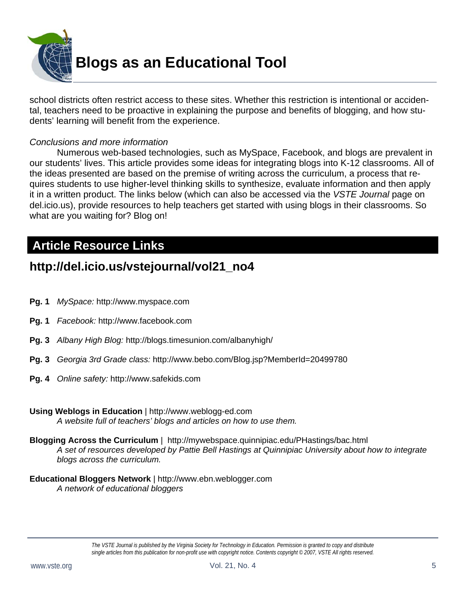

school districts often restrict access to these sites. Whether this restriction is intentional or accidental, teachers need to be proactive in explaining the purpose and benefits of blogging, and how students' learning will benefit from the experience.

#### *Conclusions and more information*

 Numerous web-based technologies, such as MySpace, Facebook, and blogs are prevalent in our students' lives. This article provides some ideas for integrating blogs into K-12 classrooms. All of the ideas presented are based on the premise of writing across the curriculum, a process that requires students to use higher-level thinking skills to synthesize, evaluate information and then apply it in a written product. The links below (which can also be accessed via the *VSTE Journal* page on del.icio.us), provide resources to help teachers get started with using blogs in their classrooms. So what are you waiting for? Blog on!

# **Article Resource Links**

# **http://del.icio.us/vstejournal/vol21\_no4**

- **Pg. 1** *MySpace:* http://www.myspace.com
- **Pg. 1** *Facebook:* http://www.facebook.com
- **Pg. 3** *Albany High Blog:* http://blogs.timesunion.com/albanyhigh/
- **Pg. 3** *Georgia 3rd Grade class:* http://www.bebo.com/Blog.jsp?MemberId=20499780
- **Pg. 4** *Online safety:* http://www.safekids.com
- **Using Weblogs in Education** | http://www.weblogg-ed.com *A website full of teachers' blogs and articles on how to use them.*
- **Blogging Across the Curriculum** | http://mywebspace.quinnipiac.edu/PHastings/bac.html *A set of resources developed by Pattie Bell Hastings at Quinnipiac University about how to integrate blogs across the curriculum.*
- **Educational Bloggers Network** | http://www.ebn.weblogger.com *A network of educational bloggers*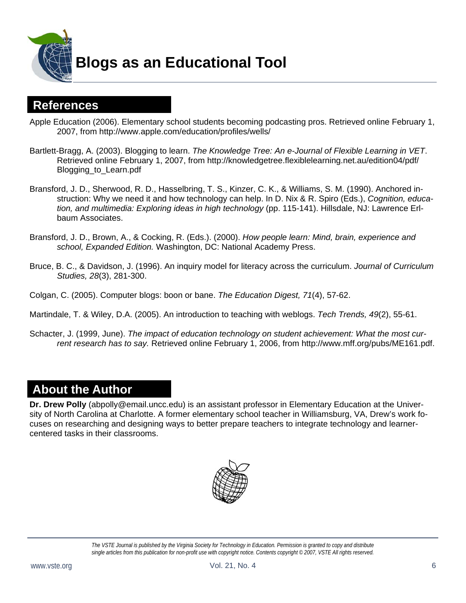

**Blogs as an Educational Tool** 

# **References**

Apple Education (2006). Elementary school students becoming podcasting pros. Retrieved online February 1, 2007, from http://www.apple.com/education/profiles/wells/

- Bartlett-Bragg, A. (2003). Blogging to learn. *The Knowledge Tree: An e-Journal of Flexible Learning in VET*. Retrieved online February 1, 2007, from http://knowledgetree.flexiblelearning.net.au/edition04/pdf/ Blogging\_to\_Learn.pdf
- Bransford, J. D., Sherwood, R. D., Hasselbring, T. S., Kinzer, C. K., & Williams, S. M. (1990). Anchored instruction: Why we need it and how technology can help. In D. Nix & R. Spiro (Eds.), *Cognition, education, and multimedia: Exploring ideas in high technology* (pp. 115-141). Hillsdale, NJ: Lawrence Erlbaum Associates.
- Bransford, J. D., Brown, A., & Cocking, R. (Eds.). (2000). *How people learn: Mind, brain, experience and school, Expanded Edition.* Washington, DC: National Academy Press.
- Bruce, B. C., & Davidson, J. (1996). An inquiry model for literacy across the curriculum. *Journal of Curriculum Studies, 28*(3), 281-300.

Colgan, C. (2005). Computer blogs: boon or bane. *The Education Digest, 71*(4), 57-62.

- Martindale, T. & Wiley, D.A. (2005). An introduction to teaching with weblogs. *Tech Trends, 49*(2), 55-61.
- Schacter, J. (1999, June). *The impact of education technology on student achievement: What the most current research has to say.* Retrieved online February 1, 2006, from http://www.mff.org/pubs/ME161.pdf.

# **About the Author**

**Dr. Drew Polly** (abpolly@email.uncc.edu) is an assistant professor in Elementary Education at the University of North Carolina at Charlotte. A former elementary school teacher in Williamsburg, VA, Drew's work focuses on researching and designing ways to better prepare teachers to integrate technology and learnercentered tasks in their classrooms.